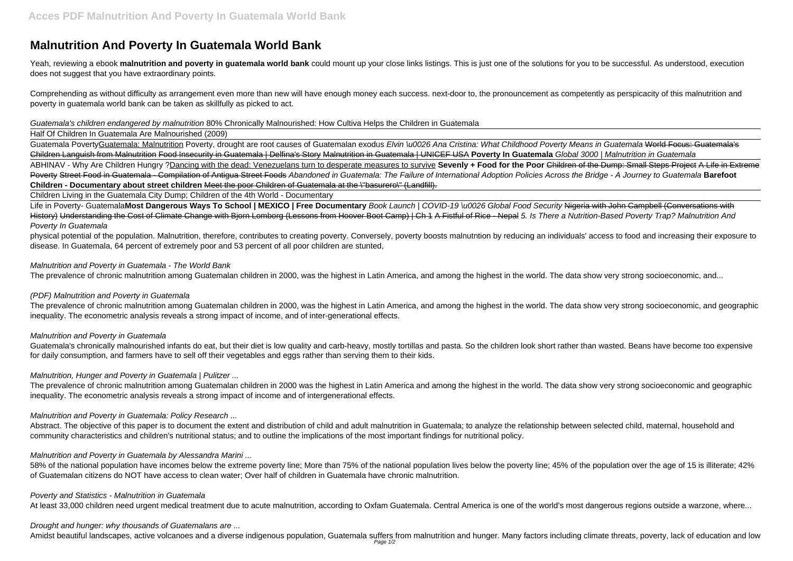# **Malnutrition And Poverty In Guatemala World Bank**

Yeah, reviewing a ebook **malnutrition and poverty in guatemala world bank** could mount up your close links listings. This is just one of the solutions for you to be successful. As understood, execution does not suggest that you have extraordinary points.

Comprehending as without difficulty as arrangement even more than new will have enough money each success. next-door to, the pronouncement as competently as perspicacity of this malnutrition and poverty in guatemala world bank can be taken as skillfully as picked to act.

Guatemala's children endangered by malnutrition 80% Chronically Malnourished: How Cultiva Helps the Children in Guatemala

Half Of Children In Guatemala Are Malnourished (2009)

Guatemala PovertyGuatemala: Malnutrition Poverty, drought are root causes of Guatemalan exodus Elvin \u0026 Ana Cristina: What Childhood Poverty Means in Guatemala World Focus: Guatemala's Children Languish from Malnutrition Food Insecurity in Guatemala | Delfina's Story Malnutrition in Guatemala | UNICEF USA **Poverty In Guatemala** Global 3000 | Malnutrition in Guatemala ABHINAV - Why Are Children Hungry ?Dancing with the dead: Venezuelans turn to desperate measures to survive **Sevenly + Food for the Poor** Children of the Dump: Small Steps Project A Life in Extreme Poverty Street Food in Guatemala - Compilation of Antigua Street Foods Abandoned in Guatemala: The Failure of International Adoption Policies Across the Bridge - A Journey to Guatemala **Barefoot Children - Documentary about street children** Meet the poor Children of Guatemala at the \"basurero\" (Landfill).

Life in Poverty- GuatemalaMost Dangerous Ways To School | MEXICO | Free Documentary Book Launch | COVID-19 \u0026 Global Food Security Nigeria with John Campbell (Conversations with History) Understanding the Cost of Climate Change with Biorn Lomborg (Lessons from Hoover Boot Camp) | Ch 1 A Fistful of Rice - Nepal 5. Is There a Nutrition-Based Poverty Trap? Malnutrition And Poverty In Guatemala

Children Living in the Guatemala City Dump; Children of the 4th World - Documentary

Abstract. The objective of this paper is to document the extent and distribution of child and adult malnutrition in Guatemala; to analyze the relationship between selected child, maternal, household and community characteristics and children's nutritional status; and to outline the implications of the most important findings for nutritional policy.

58% of the national population have incomes below the extreme poverty line; More than 75% of the national population lives below the poverty line; 45% of the population over the age of 15 is illiterate; 42% of Guatemalan citizens do NOT have access to clean water; Over half of children in Guatemala have chronic malnutrition.

physical potential of the population. Malnutrition, therefore, contributes to creating poverty. Conversely, poverty boosts malnutntion by reducing an individuals' access to food and increasing their exposure to disease. In Guatemala, 64 percent of extremely poor and 53 percent of all poor children are stunted,

## Malnutrition and Poverty in Guatemala - The World Bank

The prevalence of chronic malnutrition among Guatemalan children in 2000, was the highest in Latin America, and among the highest in the world. The data show very strong socioeconomic, and...

# (PDF) Malnutrition and Poverty in Guatemala

The prevalence of chronic malnutrition among Guatemalan children in 2000, was the highest in Latin America, and among the highest in the world. The data show very strong socioeconomic, and geographic inequality. The econometric analysis reveals a strong impact of income, and of inter-generational effects.

# Malnutrition and Poverty in Guatemala

Guatemala's chronically malnourished infants do eat, but their diet is low quality and carb-heavy, mostly tortillas and pasta. So the children look short rather than wasted. Beans have become too expensive for daily consumption, and farmers have to sell off their vegetables and eggs rather than serving them to their kids.

# Malnutrition, Hunger and Poverty in Guatemala | Pulitzer ...

The prevalence of chronic malnutrition among Guatemalan children in 2000 was the highest in Latin America and among the highest in the world. The data show very strong socioeconomic and geographic inequality. The econometric analysis reveals a strong impact of income and of intergenerational effects.

# Malnutrition and Poverty in Guatemala: Policy Research ...

#### Malnutrition and Poverty in Guatemala by Alessandra Marini ...

#### Poverty and Statistics - Malnutrition in Guatemala

At least 33,000 children need urgent medical treatment due to acute malnutrition, according to Oxfam Guatemala. Central America is one of the world's most dangerous regions outside a warzone, where...

#### Drought and hunger: why thousands of Guatemalans are ...

Amidst beautiful landscapes, active volcanoes and a diverse indigenous population, Guatemala suffers from malnutrition and hunger. Many factors including climate threats, poverty, lack of education and low